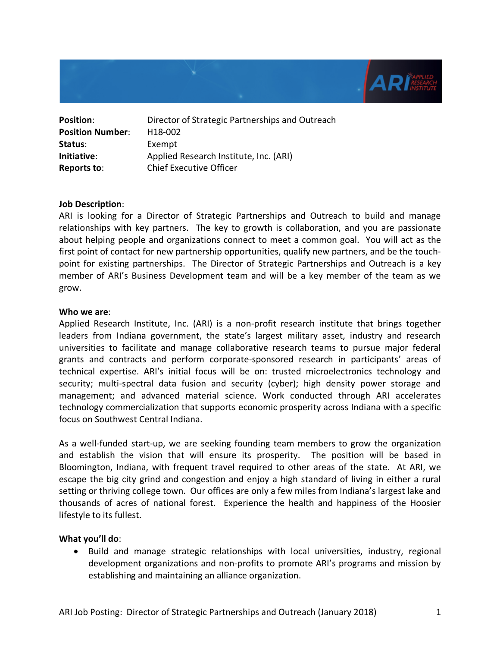

| <b>Position:</b>        | Director of Strategic Partnerships and Outreach |
|-------------------------|-------------------------------------------------|
| <b>Position Number:</b> | H <sub>18</sub> -002                            |
| Status:                 | Exempt                                          |
| Initiative:             | Applied Research Institute, Inc. (ARI)          |
| Reports to:             | <b>Chief Executive Officer</b>                  |

### **Job Description**:

ARI is looking for a Director of Strategic Partnerships and Outreach to build and manage relationships with key partners. The key to growth is collaboration, and you are passionate about helping people and organizations connect to meet a common goal. You will act as the first point of contact for new partnership opportunities, qualify new partners, and be the touchpoint for existing partnerships. The Director of Strategic Partnerships and Outreach is a key member of ARI's Business Development team and will be a key member of the team as we grow.

#### **Who we are**:

Applied Research Institute, Inc. (ARI) is a non-profit research institute that brings together leaders from Indiana government, the state's largest military asset, industry and research universities to facilitate and manage collaborative research teams to pursue major federal grants and contracts and perform corporate-sponsored research in participants' areas of technical expertise. ARI's initial focus will be on: trusted microelectronics technology and security; multi-spectral data fusion and security (cyber); high density power storage and management; and advanced material science. Work conducted through ARI accelerates technology commercialization that supports economic prosperity across Indiana with a specific focus on Southwest Central Indiana.

As a well-funded start-up, we are seeking founding team members to grow the organization and establish the vision that will ensure its prosperity. The position will be based in Bloomington, Indiana, with frequent travel required to other areas of the state. At ARI, we escape the big city grind and congestion and enjoy a high standard of living in either a rural setting or thriving college town. Our offices are only a few miles from Indiana's largest lake and thousands of acres of national forest. Experience the health and happiness of the Hoosier lifestyle to its fullest.

### **What you'll do**:

• Build and manage strategic relationships with local universities, industry, regional development organizations and non-profits to promote ARI's programs and mission by establishing and maintaining an alliance organization.